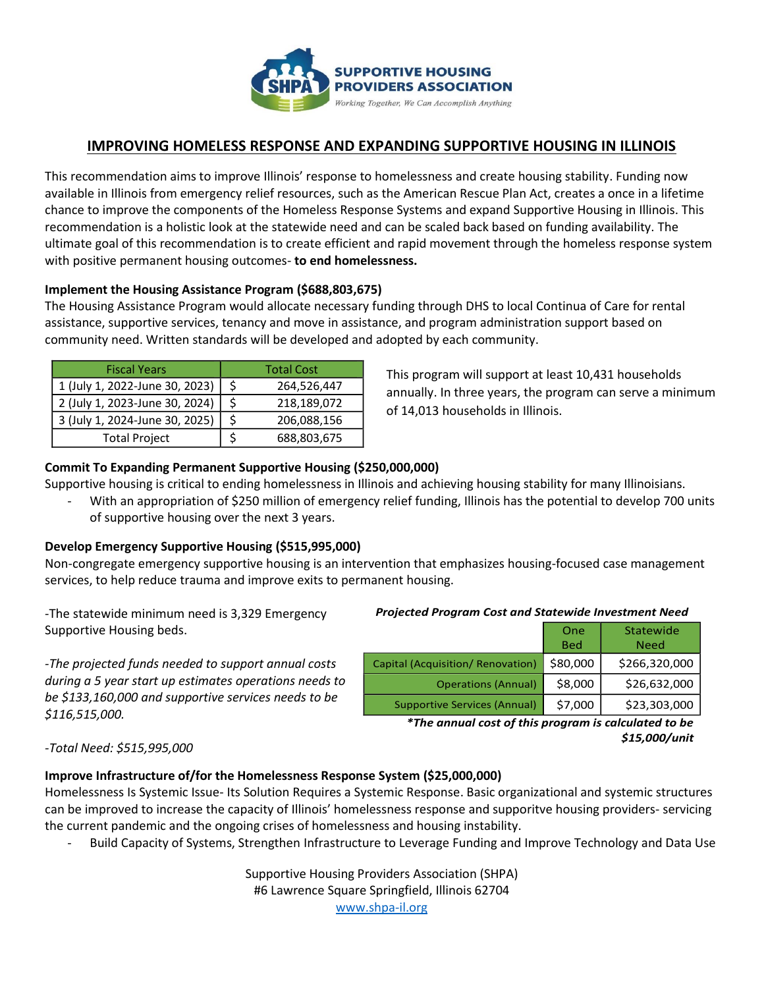

# **IMPROVING HOMELESS RESPONSE AND EXPANDING SUPPORTIVE HOUSING IN ILLINOIS**

This recommendation aims to improve Illinois' response to homelessness and create housing stability. Funding now available in Illinois from emergency relief resources, such as the American Rescue Plan Act, creates a once in a lifetime chance to improve the components of the Homeless Response Systems and expand Supportive Housing in Illinois. This recommendation is a holistic look at the statewide need and can be scaled back based on funding availability. The ultimate goal of this recommendation is to create efficient and rapid movement through the homeless response system with positive permanent housing outcomes- **to end homelessness.**

#### **Implement the Housing Assistance Program (\$688,803,675)**

The Housing Assistance Program would allocate necessary funding through DHS to local Continua of Care for rental assistance, supportive services, tenancy and move in assistance, and program administration support based on community need. Written standards will be developed and adopted by each community.

| <b>Fiscal Years</b>            | <b>Total Cost</b> |             |
|--------------------------------|-------------------|-------------|
| 1 (July 1, 2022-June 30, 2023) |                   | 264,526,447 |
| 2 (July 1, 2023-June 30, 2024) |                   | 218,189,072 |
| 3 (July 1, 2024-June 30, 2025) |                   | 206,088,156 |
| <b>Total Project</b>           |                   | 688,803,675 |

This program will support at least 10,431 households annually. In three years, the program can serve a minimum of 14,013 households in Illinois.

### **Commit To Expanding Permanent Supportive Housing (\$250,000,000)**

Supportive housing is critical to ending homelessness in Illinois and achieving housing stability for many Illinoisians.

With an appropriation of \$250 million of emergency relief funding, Illinois has the potential to develop 700 units of supportive housing over the next 3 years.

### **Develop Emergency Supportive Housing (\$515,995,000)**

Non-congregate emergency supportive housing is an intervention that emphasizes housing-focused case management services, to help reduce trauma and improve exits to permanent housing.

-The statewide minimum need is 3,329 Emergency Supportive Housing beds.

*-The projected funds needed to support annual costs during a 5 year start up estimates operations needs to be \$133,160,000 and supportive services needs to be \$116,515,000.*

#### *Projected Program Cost and Statewide Investment Need*

|                                     | One<br><b>Bed</b> | Statewide<br><b>Need</b> |
|-------------------------------------|-------------------|--------------------------|
| Capital (Acquisition/ Renovation)   | \$80,000          | \$266,320,000            |
| <b>Operations (Annual)</b>          | \$8,000           | \$26,632,000             |
| <b>Supportive Services (Annual)</b> | \$7,000           | \$23,303,000             |

*\*The annual cost of this program is calculated to be \$15,000/unit*

#### *-Total Need: \$515,995,000*

### **Improve Infrastructure of/for the Homelessness Response System (\$25,000,000)**

Homelessness Is Systemic Issue- Its Solution Requires a Systemic Response. Basic organizational and systemic structures can be improved to increase the capacity of Illinois' homelessness response and supporitve housing providers- servicing the current pandemic and the ongoing crises of homelessness and housing instability.

- Build Capacity of Systems, Strengthen Infrastructure to Leverage Funding and Improve Technology and Data Use

Supportive Housing Providers Association (SHPA) #6 Lawrence Square Springfield, Illinois 62704 [www.shpa-il.org](http://www.shpa-il.org/)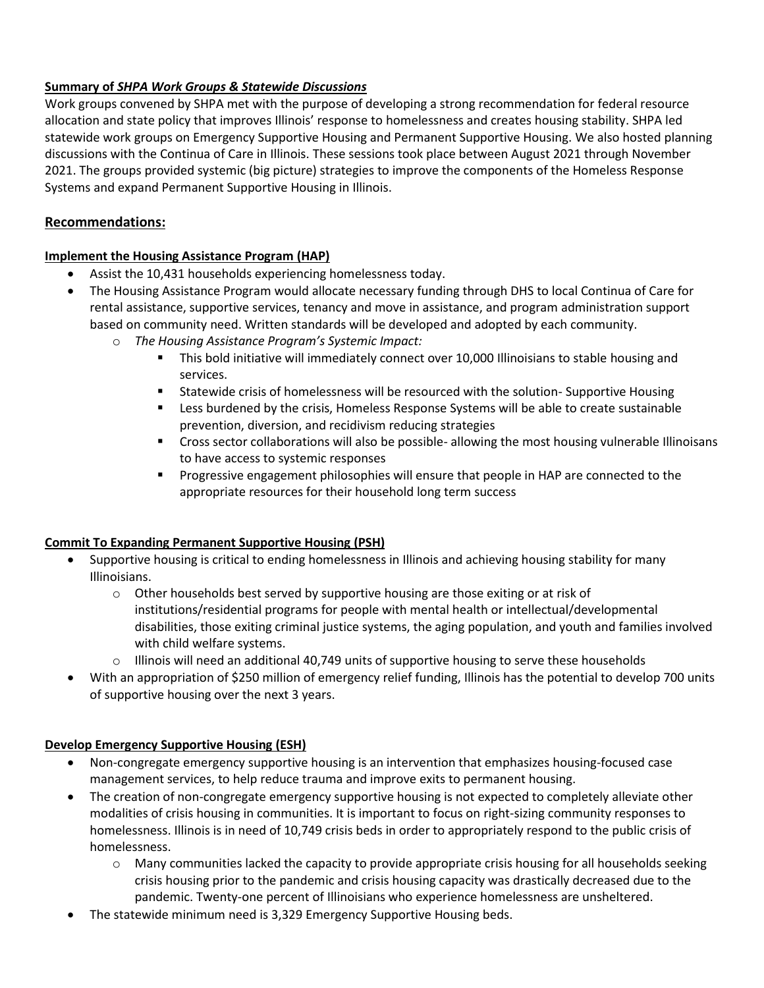### **Summary of** *SHPA Work Groups & Statewide Discussions*

Work groups convened by SHPA met with the purpose of developing a strong recommendation for federal resource allocation and state policy that improves Illinois' response to homelessness and creates housing stability. SHPA led statewide work groups on Emergency Supportive Housing and Permanent Supportive Housing. We also hosted planning discussions with the Continua of Care in Illinois. These sessions took place between August 2021 through November 2021. The groups provided systemic (big picture) strategies to improve the components of the Homeless Response Systems and expand Permanent Supportive Housing in Illinois.

## **Recommendations:**

### **Implement the Housing Assistance Program (HAP)**

- Assist the 10,431 households experiencing homelessness today.
- The Housing Assistance Program would allocate necessary funding through DHS to local Continua of Care for rental assistance, supportive services, tenancy and move in assistance, and program administration support based on community need. Written standards will be developed and adopted by each community.
	- o *The Housing Assistance Program's Systemic Impact:*
		- This bold initiative will immediately connect over 10,000 Illinoisians to stable housing and services.
		- Statewide crisis of homelessness will be resourced with the solution- Supportive Housing
		- Less burdened by the crisis, Homeless Response Systems will be able to create sustainable prevention, diversion, and recidivism reducing strategies
		- **•** Cross sector collaborations will also be possible- allowing the most housing vulnerable Illinoisans to have access to systemic responses
		- **•** Progressive engagement philosophies will ensure that people in HAP are connected to the appropriate resources for their household long term success

# **Commit To Expanding Permanent Supportive Housing (PSH)**

- Supportive housing is critical to ending homelessness in Illinois and achieving housing stability for many Illinoisians.
	- $\circ$  Other households best served by supportive housing are those exiting or at risk of institutions/residential programs for people with mental health or intellectual/developmental disabilities, those exiting criminal justice systems, the aging population, and youth and families involved with child welfare systems.
	- $\circ$  Illinois will need an additional 40,749 units of supportive housing to serve these households
- With an appropriation of \$250 million of emergency relief funding, Illinois has the potential to develop 700 units of supportive housing over the next 3 years.

### **Develop Emergency Supportive Housing (ESH)**

- Non-congregate emergency supportive housing is an intervention that emphasizes housing-focused case management services, to help reduce trauma and improve exits to permanent housing.
- The creation of non-congregate emergency supportive housing is not expected to completely alleviate other modalities of crisis housing in communities. It is important to focus on right-sizing community responses to homelessness. Illinois is in need of 10,749 crisis beds in order to appropriately respond to the public crisis of homelessness.
	- o Many communities lacked the capacity to provide appropriate crisis housing for all households seeking crisis housing prior to the pandemic and crisis housing capacity was drastically decreased due to the pandemic. Twenty-one percent of Illinoisians who experience homelessness are unsheltered.
- The statewide minimum need is 3,329 Emergency Supportive Housing beds.